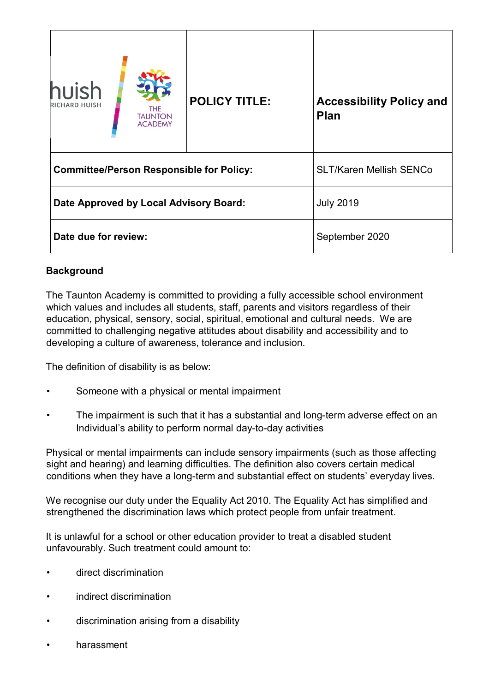| huish<br><b>RICHARD HUISH</b>                   | THE<br><b>TAUNTON</b><br><b>ACADEMY</b> | <b>POLICY TITLE:</b> | <b>Accessibility Policy and</b><br><b>Plan</b> |
|-------------------------------------------------|-----------------------------------------|----------------------|------------------------------------------------|
| <b>Committee/Person Responsible for Policy:</b> |                                         |                      | <b>SLT/Karen Mellish SENCo</b>                 |
| Date Approved by Local Advisory Board:          |                                         | <b>July 2019</b>     |                                                |
| Date due for review:                            |                                         | September 2020       |                                                |

# **Background**

The Taunton Academy is committed to providing a fully accessible school environment which values and includes all students, staff, parents and visitors regardless of their education, physical, sensory, social, spiritual, emotional and cultural needs. We are committed to challenging negative attitudes about disability and accessibility and to developing a culture of awareness, tolerance and inclusion.

The definition of disability is as below:

- Someone with a physical or mental impairment
- The impairment is such that it has a substantial and long-term adverse effect on an Individual's ability to perform normal day-to-day activities

Physical or mental impairments can include sensory impairments (such as those affecting sight and hearing) and learning difficulties. The definition also covers certain medical conditions when they have a long-term and substantial effect on students' everyday lives.

We recognise our duty under the Equality Act 2010. The Equality Act has simplified and strengthened the discrimination laws which protect people from unfair treatment.

It is unlawful for a school or other education provider to treat a disabled student unfavourably. Such treatment could amount to:

- direct discrimination
- indirect discrimination
- discrimination arising from a disability
- harassment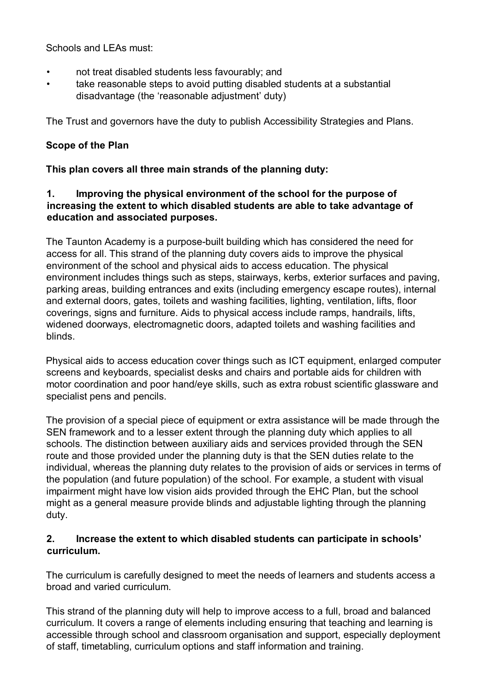Schools and LEAs must:

- not treat disabled students less favourably; and
- take reasonable steps to avoid putting disabled students at a substantial disadvantage (the 'reasonable adjustment' duty)

The Trust and governors have the duty to publish Accessibility Strategies and Plans.

# **Scope of the Plan**

### **This plan covers all three main strands of the planning duty:**

### **1. Improving the physical environment of the school for the purpose of increasing the extent to which disabled students are able to take advantage of education and associated purposes.**

The Taunton Academy is a purpose-built building which has considered the need for access for all. This strand of the planning duty covers aids to improve the physical environment of the school and physical aids to access education. The physical environment includes things such as steps, stairways, kerbs, exterior surfaces and paving, parking areas, building entrances and exits (including emergency escape routes), internal and external doors, gates, toilets and washing facilities, lighting, ventilation, lifts, floor coverings, signs and furniture. Aids to physical access include ramps, handrails, lifts, widened doorways, electromagnetic doors, adapted toilets and washing facilities and blinds.

Physical aids to access education cover things such as ICT equipment, enlarged computer screens and keyboards, specialist desks and chairs and portable aids for children with motor coordination and poor hand/eye skills, such as extra robust scientific glassware and specialist pens and pencils.

The provision of a special piece of equipment or extra assistance will be made through the SEN framework and to a lesser extent through the planning duty which applies to all schools. The distinction between auxiliary aids and services provided through the SEN route and those provided under the planning duty is that the SEN duties relate to the individual, whereas the planning duty relates to the provision of aids or services in terms of the population (and future population) of the school. For example, a student with visual impairment might have low vision aids provided through the EHC Plan, but the school might as a general measure provide blinds and adjustable lighting through the planning duty.

### **2. Increase the extent to which disabled students can participate in schools' curriculum.**

The curriculum is carefully designed to meet the needs of learners and students access a broad and varied curriculum.

This strand of the planning duty will help to improve access to a full, broad and balanced curriculum. It covers a range of elements including ensuring that teaching and learning is accessible through school and classroom organisation and support, especially deployment of staff, timetabling, curriculum options and staff information and training.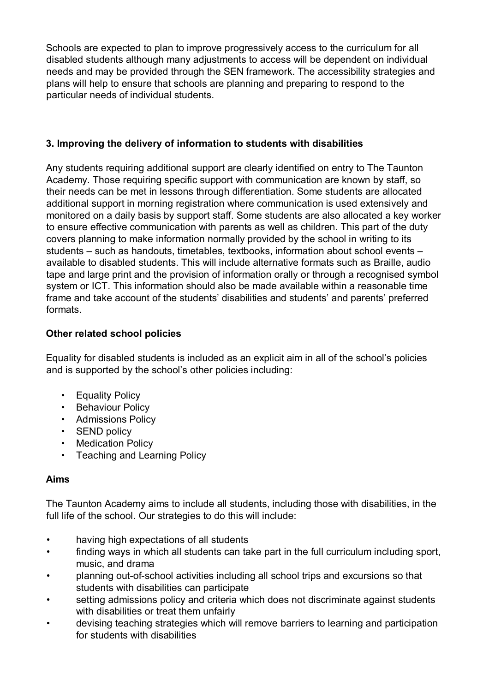Schools are expected to plan to improve progressively access to the curriculum for all disabled students although many adjustments to access will be dependent on individual needs and may be provided through the SEN framework. The accessibility strategies and plans will help to ensure that schools are planning and preparing to respond to the particular needs of individual students.

# **3. Improving the delivery of information to students with disabilities**

Any students requiring additional support are clearly identified on entry to The Taunton Academy. Those requiring specific support with communication are known by staff, so their needs can be met in lessons through differentiation. Some students are allocated additional support in morning registration where communication is used extensively and monitored on a daily basis by support staff. Some students are also allocated a key worker to ensure effective communication with parents as well as children. This part of the duty covers planning to make information normally provided by the school in writing to its students – such as handouts, timetables, textbooks, information about school events – available to disabled students. This will include alternative formats such as Braille, audio tape and large print and the provision of information orally or through a recognised symbol system or ICT. This information should also be made available within a reasonable time frame and take account of the students' disabilities and students' and parents' preferred formats.

# **Other related school policies**

Equality for disabled students is included as an explicit aim in all of the school's policies and is supported by the school's other policies including:

- Equality Policy
- Behaviour Policy
- Admissions Policy
- SEND policy
- Medication Policy
- Teaching and Learning Policy

# **Aims**

The Taunton Academy aims to include all students, including those with disabilities, in the full life of the school. Our strategies to do this will include:

- having high expectations of all students
- finding ways in which all students can take part in the full curriculum including sport, music, and drama
- planning out-of-school activities including all school trips and excursions so that students with disabilities can participate
- setting admissions policy and criteria which does not discriminate against students with disabilities or treat them unfairly
- devising teaching strategies which will remove barriers to learning and participation for students with disabilities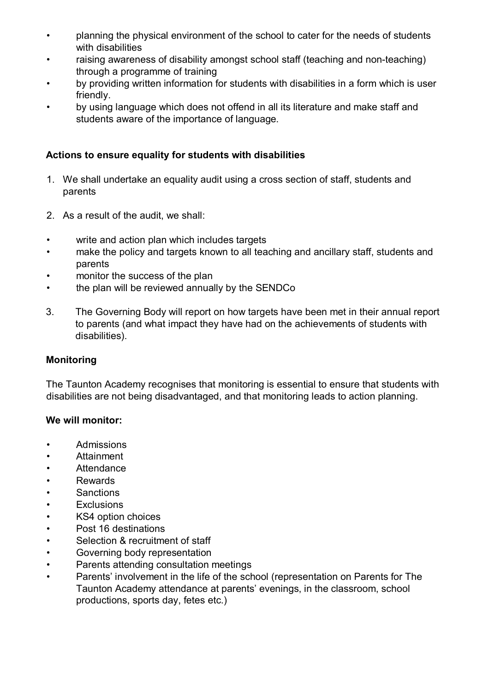- planning the physical environment of the school to cater for the needs of students with disabilities
- raising awareness of disability amongst school staff (teaching and non-teaching) through a programme of training
- by providing written information for students with disabilities in a form which is user friendly.
- by using language which does not offend in all its literature and make staff and students aware of the importance of language.

### **Actions to ensure equality for students with disabilities**

- 1. We shall undertake an equality audit using a cross section of staff, students and parents
- 2. As a result of the audit, we shall:
- write and action plan which includes targets
- make the policy and targets known to all teaching and ancillary staff, students and parents
- monitor the success of the plan
- the plan will be reviewed annually by the SENDCo
- 3. The Governing Body will report on how targets have been met in their annual report to parents (and what impact they have had on the achievements of students with disabilities).

# **Monitoring**

The Taunton Academy recognises that monitoring is essential to ensure that students with disabilities are not being disadvantaged, and that monitoring leads to action planning.

#### **We will monitor:**

- Admissions
- Attainment
- Attendance
- Rewards
- Sanctions
- Exclusions
- KS4 option choices
- Post 16 destinations
- Selection & recruitment of staff
- Governing body representation
- Parents attending consultation meetings
- Parents' involvement in the life of the school (representation on Parents for The Taunton Academy attendance at parents' evenings, in the classroom, school productions, sports day, fetes etc.)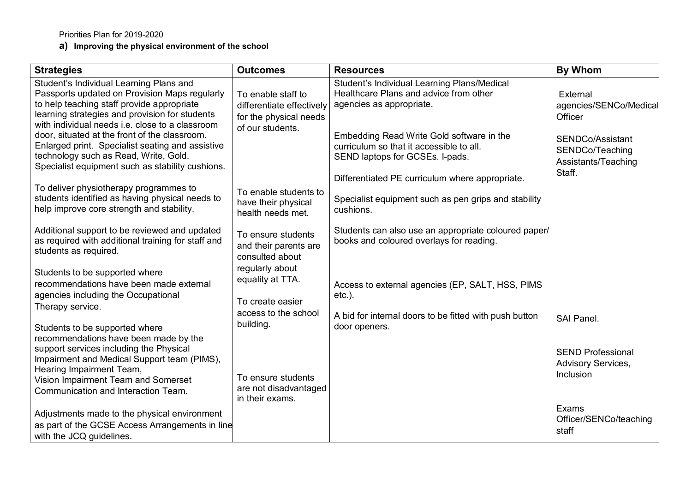Priorities Plan for 2019-2020

**a) Improving the physical environment of the school**

| <b>Strategies</b>                                                                                                                                                                                                                                                                            | <b>Outcomes</b>                                                                               | <b>Resources</b>                                                                                                                                               | <b>By Whom</b>                                                            |
|----------------------------------------------------------------------------------------------------------------------------------------------------------------------------------------------------------------------------------------------------------------------------------------------|-----------------------------------------------------------------------------------------------|----------------------------------------------------------------------------------------------------------------------------------------------------------------|---------------------------------------------------------------------------|
| Student's Individual Learning Plans and<br>Passports updated on Provision Maps regularly<br>to help teaching staff provide appropriate<br>learning strategies and provision for students<br>with individual needs i.e. close to a classroom<br>door, situated at the front of the classroom. | To enable staff to<br>differentiate effectively<br>for the physical needs<br>of our students. | Student's Individual Learning Plans/Medical<br>Healthcare Plans and advice from other<br>agencies as appropriate.<br>Embedding Read Write Gold software in the | External<br>agencies/SENCo/Medica<br>Officer<br><b>SENDCo/Assistant</b>   |
| Enlarged print. Specialist seating and assistive<br>technology such as Read, Write, Gold.<br>Specialist equipment such as stability cushions.                                                                                                                                                |                                                                                               | curriculum so that it accessible to all.<br>SEND laptops for GCSEs. I-pads.<br>Differentiated PE curriculum where appropriate.                                 | SENDCo/Teaching<br>Assistants/Teaching<br>Staff.                          |
| To deliver physiotherapy programmes to<br>students identified as having physical needs to<br>help improve core strength and stability.                                                                                                                                                       | To enable students to<br>have their physical<br>health needs met.                             | Specialist equipment such as pen grips and stability<br>cushions.                                                                                              |                                                                           |
| Additional support to be reviewed and updated<br>as required with additional training for staff and<br>students as required.                                                                                                                                                                 | To ensure students<br>and their parents are<br>consulted about                                | Students can also use an appropriate coloured paper/<br>books and coloured overlays for reading.                                                               |                                                                           |
| Students to be supported where<br>recommendations have been made external<br>agencies including the Occupational<br>Therapy service.                                                                                                                                                         | regularly about<br>equality at TTA.<br>To create easier                                       | Access to external agencies (EP, SALT, HSS, PIMS<br>$etc.$ ).                                                                                                  |                                                                           |
| Students to be supported where<br>recommendations have been made by the                                                                                                                                                                                                                      | access to the school<br>building.                                                             | A bid for internal doors to be fitted with push button<br>door openers.                                                                                        | <b>SAI Panel.</b>                                                         |
| support services including the Physical<br>Impairment and Medical Support team (PIMS),<br>Hearing Impairment Team,                                                                                                                                                                           | To ensure students                                                                            |                                                                                                                                                                | <b>SEND Professional</b><br><b>Advisory Services,</b><br><b>Inclusion</b> |
| Vision Impairment Team and Somerset<br>Communication and Interaction Team.                                                                                                                                                                                                                   | are not disadvantaged<br>in their exams.                                                      |                                                                                                                                                                |                                                                           |
| Adjustments made to the physical environment<br>as part of the GCSE Access Arrangements in line<br>with the JCQ guidelines.                                                                                                                                                                  |                                                                                               |                                                                                                                                                                | Exams<br>Officer/SENCo/teaching<br>staff                                  |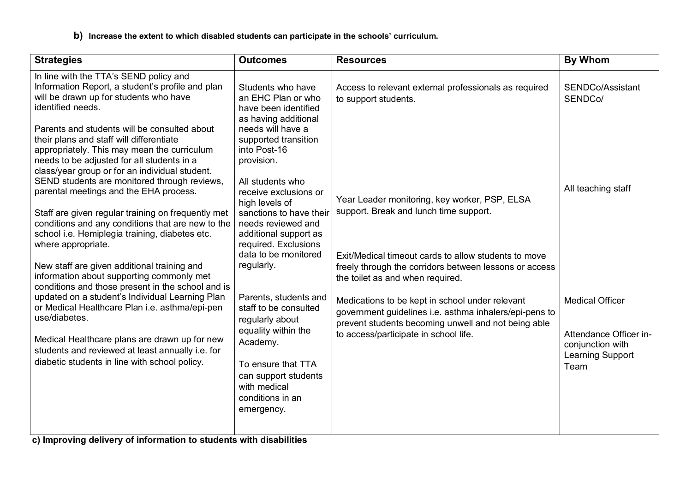**b) Increase the extent to which disabled students can participate in the schools' curriculum.** 

| <b>Strategies</b>                                                                                                                                                                                                                                                                                                                                                                                                                                                                                                                                                                                                                                                                                                                                                                                                                                                                                                                                                                                                                                                                                              | <b>Outcomes</b>                                                                                                                                                                                                                                                                                                                                                                                                                                                                                                                                                     | <b>Resources</b>                                                                                                                                                                                                                                                                                                                                                                                                                                                                                                                            | <b>By Whom</b>                                                                                                                                        |
|----------------------------------------------------------------------------------------------------------------------------------------------------------------------------------------------------------------------------------------------------------------------------------------------------------------------------------------------------------------------------------------------------------------------------------------------------------------------------------------------------------------------------------------------------------------------------------------------------------------------------------------------------------------------------------------------------------------------------------------------------------------------------------------------------------------------------------------------------------------------------------------------------------------------------------------------------------------------------------------------------------------------------------------------------------------------------------------------------------------|---------------------------------------------------------------------------------------------------------------------------------------------------------------------------------------------------------------------------------------------------------------------------------------------------------------------------------------------------------------------------------------------------------------------------------------------------------------------------------------------------------------------------------------------------------------------|---------------------------------------------------------------------------------------------------------------------------------------------------------------------------------------------------------------------------------------------------------------------------------------------------------------------------------------------------------------------------------------------------------------------------------------------------------------------------------------------------------------------------------------------|-------------------------------------------------------------------------------------------------------------------------------------------------------|
| In line with the TTA's SEND policy and<br>Information Report, a student's profile and plan<br>will be drawn up for students who have<br>identified needs.<br>Parents and students will be consulted about<br>their plans and staff will differentiate<br>appropriately. This may mean the curriculum<br>needs to be adjusted for all students in a<br>class/year group or for an individual student.<br>SEND students are monitored through reviews,<br>parental meetings and the EHA process.<br>Staff are given regular training on frequently met<br>conditions and any conditions that are new to the<br>school i.e. Hemiplegia training, diabetes etc.<br>where appropriate.<br>New staff are given additional training and<br>information about supporting commonly met<br>conditions and those present in the school and is<br>updated on a student's Individual Learning Plan<br>or Medical Healthcare Plan i.e. asthma/epi-pen<br>use/diabetes.<br>Medical Healthcare plans are drawn up for new<br>students and reviewed at least annually i.e. for<br>diabetic students in line with school policy. | Students who have<br>an EHC Plan or who<br>have been identified<br>as having additional<br>needs will have a<br>supported transition<br>into Post-16<br>provision.<br>All students who<br>receive exclusions or<br>high levels of<br>sanctions to have their<br>needs reviewed and<br>additional support as<br>required. Exclusions<br>data to be monitored<br>regularly.<br>Parents, students and<br>staff to be consulted<br>regularly about<br>equality within the<br>Academy.<br>To ensure that TTA<br>can support students<br>with medical<br>conditions in an | Access to relevant external professionals as required<br>to support students.<br>Year Leader monitoring, key worker, PSP, ELSA<br>support. Break and lunch time support.<br>Exit/Medical timeout cards to allow students to move<br>freely through the corridors between lessons or access<br>the toilet as and when required.<br>Medications to be kept in school under relevant<br>government guidelines i.e. asthma inhalers/epi-pens to<br>prevent students becoming unwell and not being able<br>to access/participate in school life. | SENDCo/Assistant<br>SENDCo/<br>All teaching staff<br><b>Medical Officer</b><br>Attendance Officer in-<br>conjunction with<br>Learning Support<br>Team |
|                                                                                                                                                                                                                                                                                                                                                                                                                                                                                                                                                                                                                                                                                                                                                                                                                                                                                                                                                                                                                                                                                                                | emergency.                                                                                                                                                                                                                                                                                                                                                                                                                                                                                                                                                          |                                                                                                                                                                                                                                                                                                                                                                                                                                                                                                                                             |                                                                                                                                                       |

**c) Improving delivery of information to students with disabilities**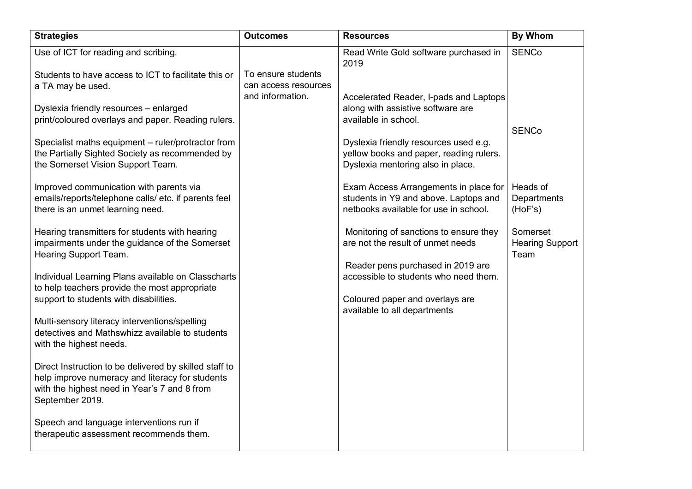| <b>Strategies</b>                                                                                                                                                            | <b>Outcomes</b>                            | <b>Resources</b>                                                                                                        | <b>By Whom</b>                             |
|------------------------------------------------------------------------------------------------------------------------------------------------------------------------------|--------------------------------------------|-------------------------------------------------------------------------------------------------------------------------|--------------------------------------------|
| Use of ICT for reading and scribing.                                                                                                                                         |                                            | Read Write Gold software purchased in<br>2019                                                                           | <b>SENCo</b>                               |
| Students to have access to ICT to facilitate this or<br>a TA may be used.                                                                                                    | To ensure students<br>can access resources |                                                                                                                         |                                            |
| Dyslexia friendly resources - enlarged<br>print/coloured overlays and paper. Reading rulers.                                                                                 | and information.                           | Accelerated Reader, I-pads and Laptops<br>along with assistive software are<br>available in school.                     | <b>SENCo</b>                               |
| Specialist maths equipment - ruler/protractor from<br>the Partially Sighted Society as recommended by<br>the Somerset Vision Support Team.                                   |                                            | Dyslexia friendly resources used e.g.<br>yellow books and paper, reading rulers.<br>Dyslexia mentoring also in place.   |                                            |
| Improved communication with parents via<br>emails/reports/telephone calls/ etc. if parents feel<br>there is an unmet learning need.                                          |                                            | Exam Access Arrangements in place for<br>students in Y9 and above. Laptops and<br>netbooks available for use in school. | Heads of<br>Departments<br>(HoF's)         |
| Hearing transmitters for students with hearing<br>impairments under the guidance of the Somerset<br>Hearing Support Team.                                                    |                                            | Monitoring of sanctions to ensure they<br>are not the result of unmet needs                                             | Somerset<br><b>Hearing Support</b><br>Team |
| Individual Learning Plans available on Classcharts<br>to help teachers provide the most appropriate<br>support to students with disabilities.                                |                                            | Reader pens purchased in 2019 are<br>accessible to students who need them.<br>Coloured paper and overlays are           |                                            |
| Multi-sensory literacy interventions/spelling<br>detectives and Mathswhizz available to students<br>with the highest needs.                                                  |                                            | available to all departments                                                                                            |                                            |
| Direct Instruction to be delivered by skilled staff to<br>help improve numeracy and literacy for students<br>with the highest need in Year's 7 and 8 from<br>September 2019. |                                            |                                                                                                                         |                                            |
| Speech and language interventions run if<br>therapeutic assessment recommends them.                                                                                          |                                            |                                                                                                                         |                                            |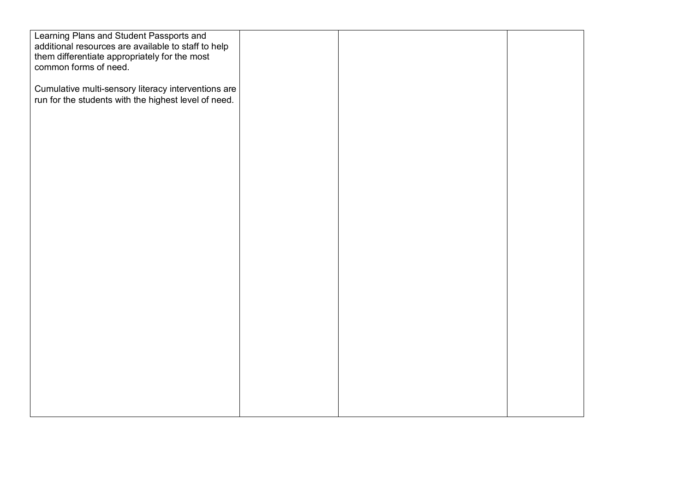| Learning Plans and Student Passports and<br>additional resources are available to staff to help             |  |  |
|-------------------------------------------------------------------------------------------------------------|--|--|
| them differentiate appropriately for the most<br>common forms of need.                                      |  |  |
| Cumulative multi-sensory literacy interventions are<br>run for the students with the highest level of need. |  |  |
|                                                                                                             |  |  |
|                                                                                                             |  |  |
|                                                                                                             |  |  |
|                                                                                                             |  |  |
|                                                                                                             |  |  |
|                                                                                                             |  |  |
|                                                                                                             |  |  |
|                                                                                                             |  |  |
|                                                                                                             |  |  |
|                                                                                                             |  |  |